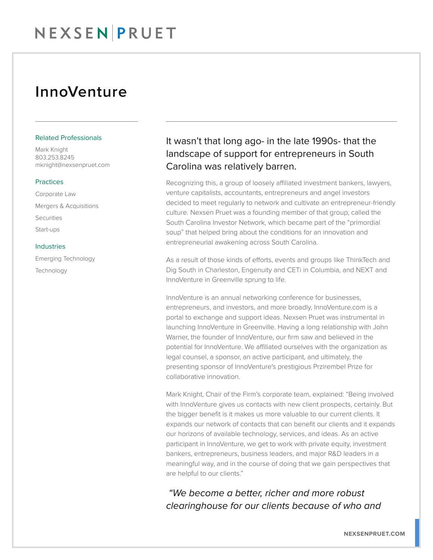## InnoVenture

#### Related Professionals

Mark Knight 803.253.8245 mknight@nexsenpruet.com

#### **Practices**

Corporate Law Mergers & Acquisitions Securities Start-ups

#### Industries

Emerging Technology Technology

### It wasn't that long ago- in the late 1990s- that the landscape of support for entrepreneurs in South Carolina was relatively barren.

Recognizing this, a group of loosely affiliated investment bankers, lawyers, venture capitalists, accountants, entrepreneurs and angel investors decided to meet regularly to network and cultivate an entrepreneur-friendly culture. Nexsen Pruet was a founding member of that group, called the South Carolina Investor Network, which became part of the "primordial soup" that helped bring about the conditions for an innovation and entrepreneurial awakening across South Carolina.

As a result of those kinds of efforts, events and groups like ThinkTech and Dig South in Charleston, Engenuity and CETi in Columbia, and NEXT and InnoVenture in Greenville sprung to life.

InnoVenture is an annual networking conference for businesses, entrepreneurs, and investors, and more broadly, InnoVenture.com is a portal to exchange and support ideas. Nexsen Pruet was instrumental in launching InnoVenture in Greenville. Having a long relationship with John Warner, the founder of InnoVenture, our firm saw and believed in the potential for InnoVenture. We affiliated ourselves with the organization as legal counsel, a sponsor, an active participant, and ultimately, the presenting sponsor of InnoVenture's prestigious Przirembel Prize for collaborative innovation.

Mark Knight, Chair of the Firm's corporate team, explained: "Being involved with InnoVenture gives us contacts with new client prospects, certainly. But the bigger benefit is it makes us more valuable to our current clients. It expands our network of contacts that can benefit our clients and it expands our horizons of available technology, services, and ideas. As an active participant in InnoVenture, we get to work with private equity, investment bankers, entrepreneurs, business leaders, and major R&D leaders in a meaningful way, and in the course of doing that we gain perspectives that are helpful to our clients."

 *"We become a better, richer and more robust clearinghouse for our clients because of who and*